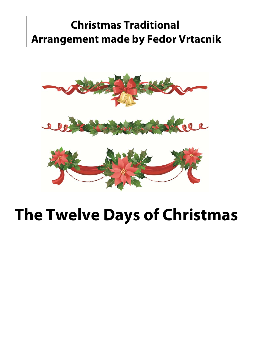## **Christmas Traditional Arrangement made by Fedor Vrtacnik**



## **The Twelve Days of Christmas**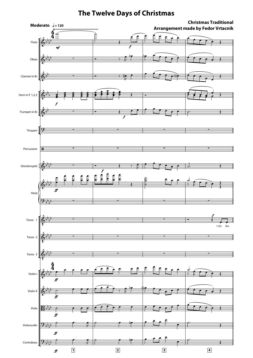## **The Twelve Days of Christmas**